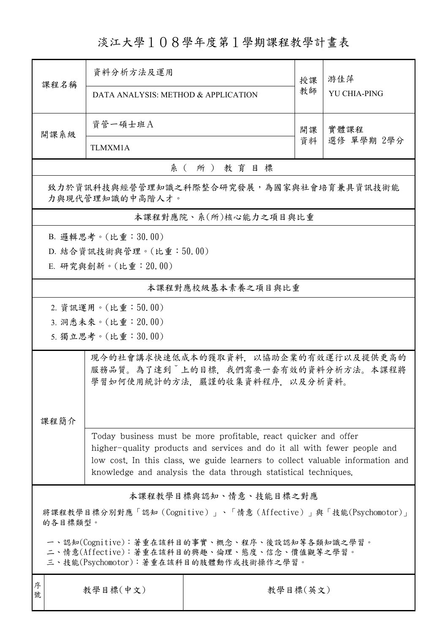## 淡江大學108學年度第1學期課程教學計畫表

| 課程名稱                                                                                                                                                                                                                                       | 資料分析方法及運用<br>DATA ANALYSIS: METHOD & APPLICATION                                                                                                                                                                                                                                                 |                   | 授課<br>教師 | 游佳萍<br><b>YU CHIA-PING</b> |  |  |  |  |
|--------------------------------------------------------------------------------------------------------------------------------------------------------------------------------------------------------------------------------------------|--------------------------------------------------------------------------------------------------------------------------------------------------------------------------------------------------------------------------------------------------------------------------------------------------|-------------------|----------|----------------------------|--|--|--|--|
| 資管一碩士班A<br>開課系級<br>TLMXM1A                                                                                                                                                                                                                 |                                                                                                                                                                                                                                                                                                  |                   | 開課<br>資料 | 實體課程<br>選修 單學期 2學分         |  |  |  |  |
| 系(所)教育目標                                                                                                                                                                                                                                   |                                                                                                                                                                                                                                                                                                  |                   |          |                            |  |  |  |  |
| 致力於資訊科技與經營管理知識之科際整合研究發展,為國家與社會培育兼具資訊技術能<br>力與現代管理知識的中高階人才。                                                                                                                                                                                 |                                                                                                                                                                                                                                                                                                  |                   |          |                            |  |  |  |  |
|                                                                                                                                                                                                                                            | 本課程對應院、系(所)核心能力之項目與比重                                                                                                                                                                                                                                                                            |                   |          |                            |  |  |  |  |
| B. 邏輯思考。(比重:30.00)<br>D. 結合資訊技術與管理。(比重:50.00)<br>E. 研究與創新。(比重: 20.00)                                                                                                                                                                      |                                                                                                                                                                                                                                                                                                  |                   |          |                            |  |  |  |  |
|                                                                                                                                                                                                                                            |                                                                                                                                                                                                                                                                                                  | 本課程對應校級基本素養之項目與比重 |          |                            |  |  |  |  |
| 2. 資訊運用。(比重:50.00)<br>3. 洞悉未來。(比重: 20.00)<br>5. 獨立思考。(比重:30.00)<br>現今的社會講求快速低成本的獲取資料, 以協助企業的有效運行以及提供更高的<br>服務品質。為了達到 上的目標,我們需要一套有效的資料分析方法。本課程將<br>學習如何使用統計的方法,嚴謹的收集資料程序,以及分析資料。                                                            |                                                                                                                                                                                                                                                                                                  |                   |          |                            |  |  |  |  |
| 課程簡介                                                                                                                                                                                                                                       | Today business must be more profitable, react quicker and offer<br>higher-quality products and services and do it all with fewer people and<br>low cost. In this class, we guide learners to collect valuable information and<br>knowledge and analysis the data through statistical techniques. |                   |          |                            |  |  |  |  |
| 本課程教學目標與認知、情意、技能目標之對應<br>將課程教學目標分別對應「認知(Cognitive)」、「情意(Affective)」與「技能(Psychomotor)」<br>的各目標類型。<br>一、認知(Cognitive):著重在該科目的事實、概念、程序、後設認知等各類知識之學習。<br>二、情意(Affective):著重在該科目的興趣、倫理、態度、信念、價值觀等之學習。<br>三、技能(Psychomotor):著重在該科目的肢體動作或技術操作之學習。 |                                                                                                                                                                                                                                                                                                  |                   |          |                            |  |  |  |  |
| 序<br>號                                                                                                                                                                                                                                     | 教學目標(中文)                                                                                                                                                                                                                                                                                         | 教學目標(英文)          |          |                            |  |  |  |  |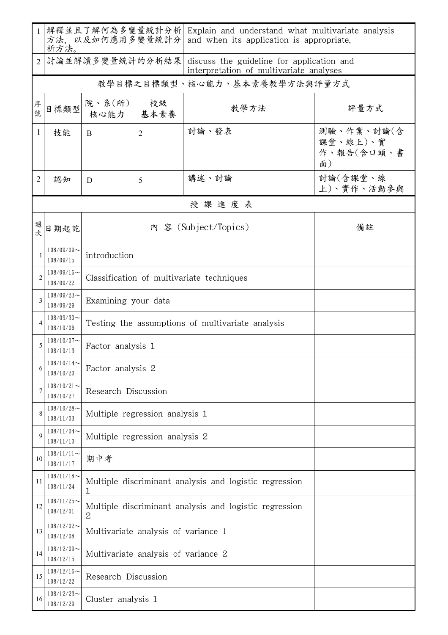| $\mathbf{1}$ | 方法, 以及如何應用多變量統計分<br>析方法。      |                                                                                                         |                                     | 解釋並且了解何為多變量統計分析  Explain and understand what multivariate analysis<br>and when its application is appropriate. |                                            |  |  |  |  |
|--------------|-------------------------------|---------------------------------------------------------------------------------------------------------|-------------------------------------|----------------------------------------------------------------------------------------------------------------|--------------------------------------------|--|--|--|--|
| 2            |                               | 討論並解讀多變量統計的分析結果<br>discuss the guideline for application and<br>interpretation of multivariate analyses |                                     |                                                                                                                |                                            |  |  |  |  |
|              |                               |                                                                                                         | 教學目標之目標類型、核心能力、基本素養教學方法與評量方式        |                                                                                                                |                                            |  |  |  |  |
| 序號           | 目標類型                          | 院、系 $(\text{m})$<br>核心能力   基本素養                                                                         | 校級                                  | 教學方法                                                                                                           | 評量方式                                       |  |  |  |  |
| $\mathbf{1}$ | 技能                            | B                                                                                                       | $\overline{2}$                      | 討論、發表                                                                                                          | 測驗、作業、討論(含<br>課堂、線上)、實<br>作、報告(含口頭、書<br>面) |  |  |  |  |
| 2            | 認知                            | D                                                                                                       | 5                                   | 講述、討論                                                                                                          | 計論(含課堂、線<br>上)、實作、活動參與                     |  |  |  |  |
|              | 授課進度表                         |                                                                                                         |                                     |                                                                                                                |                                            |  |  |  |  |
| 週<br>欤       | 日期起訖                          | 內 容 (Subject/Topics)<br>備註                                                                              |                                     |                                                                                                                |                                            |  |  |  |  |
|              | $108/09/09$ ~<br>108/09/15    | introduction                                                                                            |                                     |                                                                                                                |                                            |  |  |  |  |
| 2            | $108/09/16$ ~<br>108/09/22    | Classification of multivariate techniques                                                               |                                     |                                                                                                                |                                            |  |  |  |  |
| 3            | $108/09/23$ ~<br>108/09/29    | Examining your data                                                                                     |                                     |                                                                                                                |                                            |  |  |  |  |
|              | $108/09/30$ ~<br>108/10/06    | Testing the assumptions of multivariate analysis                                                        |                                     |                                                                                                                |                                            |  |  |  |  |
| 5            | $108/10/07$ ~<br>108/10/13    | Factor analysis 1                                                                                       |                                     |                                                                                                                |                                            |  |  |  |  |
| 6            | $108/10/14$ ~<br>108/10/20    | Factor analysis 2                                                                                       |                                     |                                                                                                                |                                            |  |  |  |  |
|              | $108/10/21$ ~<br>108/10/27    | Research Discussion                                                                                     |                                     |                                                                                                                |                                            |  |  |  |  |
| 8            | $108/10/28$ ~<br>108/11/03    | Multiple regression analysis 1                                                                          |                                     |                                                                                                                |                                            |  |  |  |  |
| 9            | $108/11/04$ ~<br>108/11/10    | Multiple regression analysis 2                                                                          |                                     |                                                                                                                |                                            |  |  |  |  |
| 10           | $108/11/11$ ~<br>108/11/17    | 期中考                                                                                                     |                                     |                                                                                                                |                                            |  |  |  |  |
| 11           | $108/11/18$ ~<br>108/11/24    | Multiple discriminant analysis and logistic regression<br>1                                             |                                     |                                                                                                                |                                            |  |  |  |  |
| 12           | $108/11/25$ ~<br>108/12/01    | Multiple discriminant analysis and logistic regression<br>$\mathbf 2$                                   |                                     |                                                                                                                |                                            |  |  |  |  |
| 13           | $108/12/02$ ~<br>108/12/08    |                                                                                                         | Multivariate analysis of variance 1 |                                                                                                                |                                            |  |  |  |  |
| 14           | $108/12/09$ ~<br>108/12/15    | Multivariate analysis of variance 2                                                                     |                                     |                                                                                                                |                                            |  |  |  |  |
| 15           | $108/12/16 \sim$<br>108/12/22 | Research Discussion                                                                                     |                                     |                                                                                                                |                                            |  |  |  |  |
| 16           | $108/12/23$ ~<br>108/12/29    | Cluster analysis 1                                                                                      |                                     |                                                                                                                |                                            |  |  |  |  |